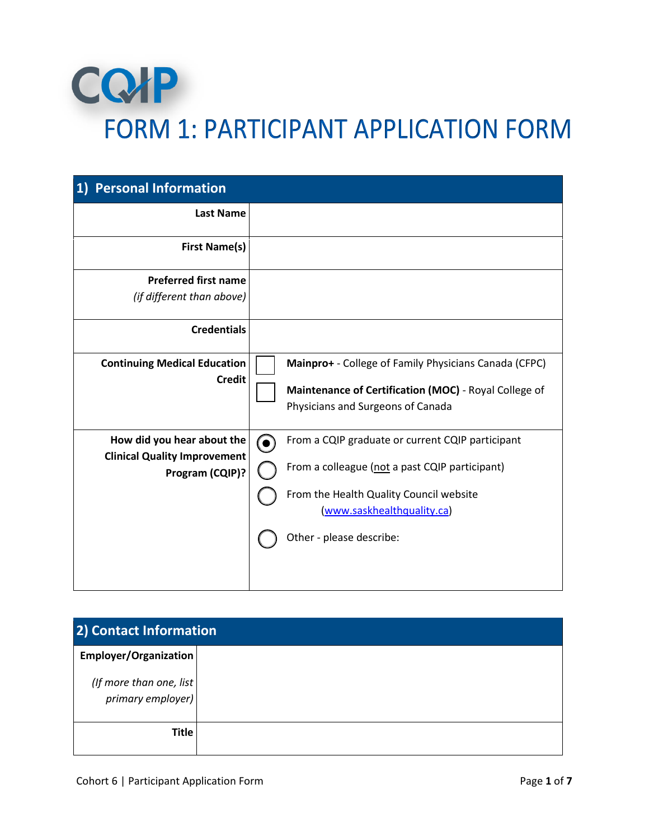

| <b>Personal Information</b>                            |          |                                                                                            |
|--------------------------------------------------------|----------|--------------------------------------------------------------------------------------------|
| <b>Last Name</b>                                       |          |                                                                                            |
| <b>First Name(s)</b>                                   |          |                                                                                            |
| <b>Preferred first name</b>                            |          |                                                                                            |
| (if different than above)                              |          |                                                                                            |
| <b>Credentials</b>                                     |          |                                                                                            |
| <b>Continuing Medical Education</b>                    |          | Mainpro+ - College of Family Physicians Canada (CFPC)                                      |
| <b>Credit</b>                                          |          | Maintenance of Certification (MOC) - Royal College of<br>Physicians and Surgeons of Canada |
| How did you hear about the                             | <b>6</b> | From a CQIP graduate or current CQIP participant                                           |
| <b>Clinical Quality Improvement</b><br>Program (CQIP)? |          | From a colleague (not a past CQIP participant)<br>From the Health Quality Council website  |
|                                                        |          | (www.saskhealthquality.ca)                                                                 |
|                                                        |          | Other - please describe:                                                                   |

| 2) Contact Information                       |  |  |
|----------------------------------------------|--|--|
| Employer/Organization                        |  |  |
| (If more than one, list<br>primary employer) |  |  |
| <b>Title</b>                                 |  |  |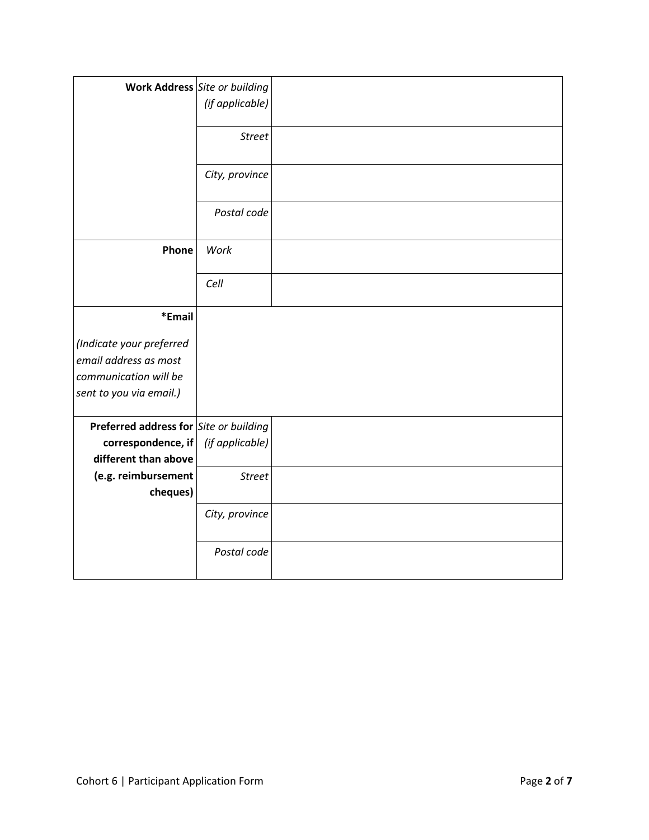|                                                                                                       | <b>Work Address</b> Site or building<br>(if applicable) |  |
|-------------------------------------------------------------------------------------------------------|---------------------------------------------------------|--|
|                                                                                                       | <b>Street</b>                                           |  |
|                                                                                                       | City, province                                          |  |
|                                                                                                       | Postal code                                             |  |
| Phone                                                                                                 | Work                                                    |  |
|                                                                                                       | Cell                                                    |  |
| *Email                                                                                                |                                                         |  |
| (Indicate your preferred<br>email address as most<br>communication will be<br>sent to you via email.) |                                                         |  |
| Preferred address for Site or building                                                                |                                                         |  |
| correspondence, if<br>different than above                                                            | (if applicable)                                         |  |
| (e.g. reimbursement<br>cheques)                                                                       | <b>Street</b>                                           |  |
|                                                                                                       | City, province                                          |  |
|                                                                                                       | Postal code                                             |  |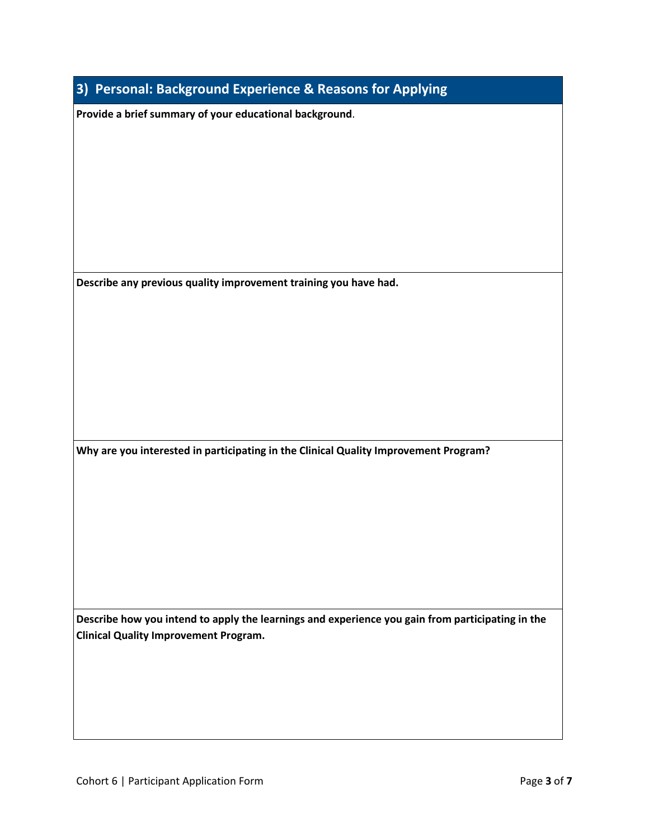| Provide a brief summary of your educational background.                                                                                          |  |  |  |
|--------------------------------------------------------------------------------------------------------------------------------------------------|--|--|--|
|                                                                                                                                                  |  |  |  |
|                                                                                                                                                  |  |  |  |
|                                                                                                                                                  |  |  |  |
|                                                                                                                                                  |  |  |  |
| Describe any previous quality improvement training you have had.                                                                                 |  |  |  |
|                                                                                                                                                  |  |  |  |
|                                                                                                                                                  |  |  |  |
|                                                                                                                                                  |  |  |  |
|                                                                                                                                                  |  |  |  |
| Why are you interested in participating in the Clinical Quality Improvement Program?                                                             |  |  |  |
|                                                                                                                                                  |  |  |  |
|                                                                                                                                                  |  |  |  |
|                                                                                                                                                  |  |  |  |
|                                                                                                                                                  |  |  |  |
|                                                                                                                                                  |  |  |  |
| Describe how you intend to apply the learnings and experience you gain from participating in the<br><b>Clinical Quality Improvement Program.</b> |  |  |  |
|                                                                                                                                                  |  |  |  |
|                                                                                                                                                  |  |  |  |
|                                                                                                                                                  |  |  |  |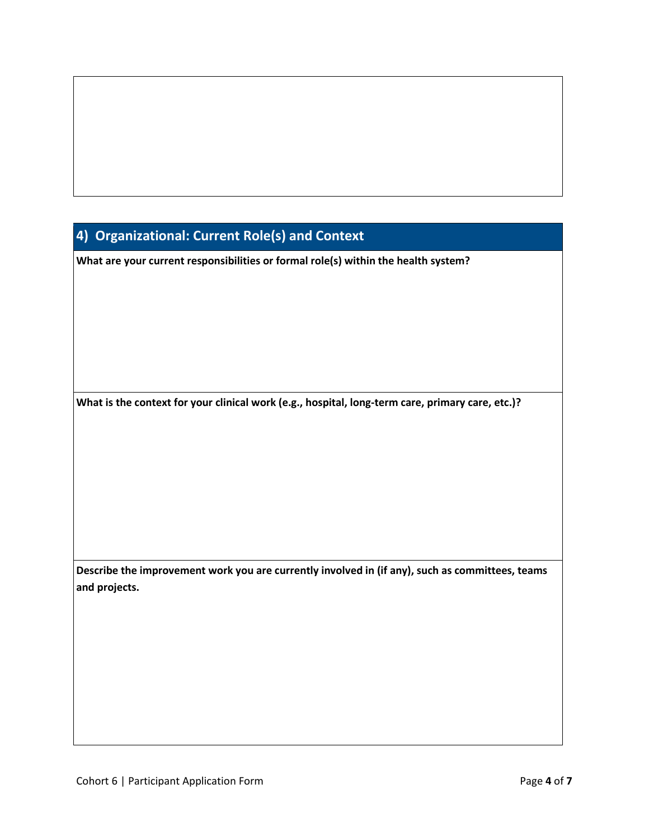## **4) Organizational: Current Role(s) and Context**

**What are your current responsibilities or formal role(s) within the health system?**

**What is the context for your clinical work (e.g., hospital, long-term care, primary care, etc.)?**

**Describe the improvement work you are currently involved in (if any), such as committees, teams and projects.**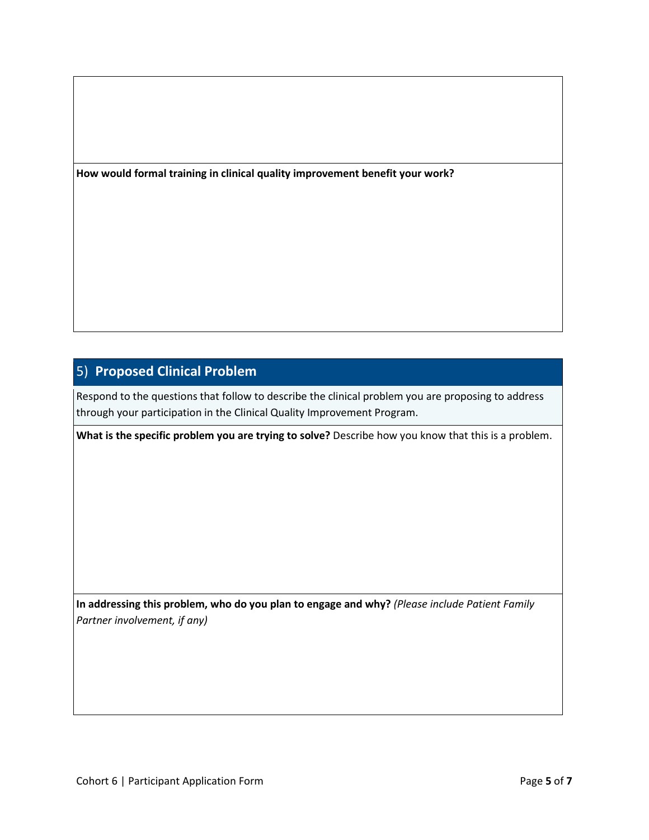**How would formal training in clinical quality improvement benefit your work?**

## 5) **Proposed Clinical Problem**

Respond to the questions that follow to describe the clinical problem you are proposing to address through your participation in the Clinical Quality Improvement Program.

**What is the specific problem you are trying to solve?** Describe how you know that this is a problem.

**In addressing this problem, who do you plan to engage and why?** *(Please include Patient Family Partner involvement, if any)*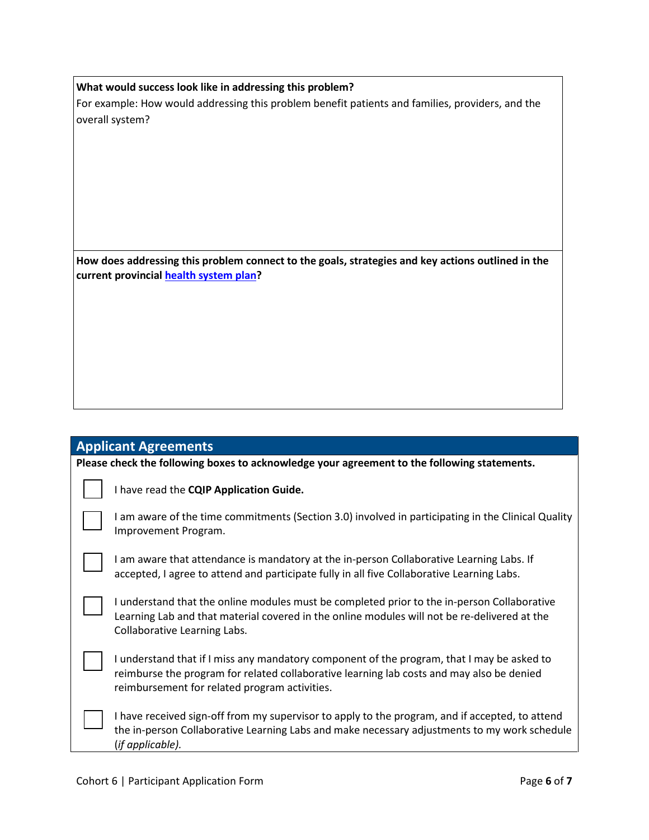**What would success look like in addressing this problem?**

For example: How would addressing this problem benefit patients and families, providers, and the overall system?

**How does addressing this problem connect to the goals, strategies and key actions outlined in the current provincia[l health system plan?](https://pubsaskdev.blob.core.windows.net/pubsask-prod/126407/HealthPlan_2021-22.pdf)** 

## **Applicant Agreements**

**Please check the following boxes to acknowledge your agreement to the following statements.**

I have read the **CQIP Application Guide.**

| I am aware of the time commitments (Section 3.0) involved in participating in the Clinical Quality |  |
|----------------------------------------------------------------------------------------------------|--|
| Improvement Program.                                                                               |  |

I am aware that attendance is mandatory at the in-person Collaborative Learning Labs. If accepted, I agree to attend and participate fully in all five Collaborative Learning Labs.

I understand that the online modules must be completed prior to the in-person Collaborative Learning Lab and that material covered in the online modules will not be re-delivered at the Collaborative Learning Labs.

I understand that if I miss any mandatory component of the program, that I may be asked to reimburse the program for related collaborative learning lab costs and may also be denied reimbursement for related program activities.

I have received sign-off from my supervisor to apply to the program, and if accepted, to attend the in-person Collaborative Learning Labs and make necessary adjustments to my work schedule (*if applicable).*